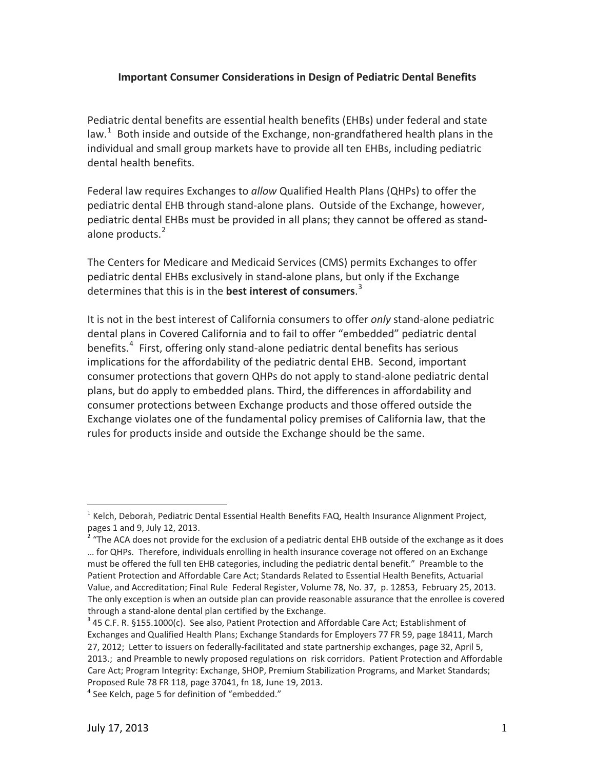## **Important Consumer Considerations in Design of Pediatric Dental Benefits**

Pediatric dental benefits are essential health benefits (EHBs) under federal and state law.<sup>[1](#page-0-0)</sup> Both inside and outside of the Exchange, non-grandfathered health plans in the individual and small group markets have to provide all ten EHBs, including pediatric dental health benefits.

Federal law requires Exchanges to *allow* Qualified Health Plans (QHPs) to offer the pediatric dental EHB through stand‐alone plans. Outside of the Exchange, however, pediatric dental EHBs must be provided in all plans; they cannot be offered as stand‐ alone products.<sup>[2](#page-0-1)</sup>

The Centers for Medicare and Medicaid Services (CMS) permits Exchanges to offer pediatric dental EHBs exclusively in stand‐alone plans, but only if the Exchange determines that this is in the **best interest of consumers**. [3](#page-0-2)

It is not in the best interest of California consumers to offer *only* stand‐alone pediatric dental plans in Covered California and to fail to offer "embedded" pediatric dental benefits.<sup>[4](#page-0-3)</sup> First, offering only stand-alone pediatric dental benefits has serious implications for the affordability of the pediatric dental EHB. Second, important consumer protections that govern QHPs do not apply to stand‐alone pediatric dental plans, but do apply to embedded plans. Third, the differences in affordability and consumer protections between Exchange products and those offered outside the Exchange violates one of the fundamental policy premises of California law, that the rules for products inside and outside the Exchange should be the same.

<span id="page-0-0"></span><sup>&</sup>lt;sup>1</sup> Kelch, Deborah, Pediatric Dental Essential Health Benefits FAQ, Health Insurance Alignment Project, pages 1 and 9, July 12, 2013.

<span id="page-0-1"></span> $2 \text{ m}$  and 9. The ACA does not provide for the exclusion of a pediatric dental EHB outside of the exchange as it does … for QHPs. Therefore, individuals enrolling in health insurance coverage not offered on an Exchange must be offered the full ten EHB categories, including the pediatric dental benefit." Preamble to the Patient Protection and Affordable Care Act; Standards Related to Essential Health Benefits, Actuarial Value, and Accreditation; Final Rule Federal Register, Volume 78, No. 37, p. 12853, February 25, 2013. The only exception is when an outside plan can provide reasonable assurance that the enrollee is covered through a stand-alone dental plan certified by the Exchange.<br>  $3$  45 C.F. R. §155.1000(c). See also, Patient Protection and Affordable Care Act; Establishment of

<span id="page-0-2"></span>Exchanges and Qualified Health Plans; Exchange Standards for Employers 77 FR 59, page 18411, March 27, 2012; Letter to issuers on federally‐facilitated and state partnership exchanges, page 32, April 5, 2013.; and Preamble to newly proposed regulations on risk corridors. Patient Protection and Affordable Care Act; Program Integrity: Exchange, SHOP, Premium Stabilization Programs, and Market Standards; Proposed Rule 78 FR 118, page 37041, fn 18, June 19, 2013.<br><sup>4</sup> See Kelch, page 5 for definition of "embedded."

<span id="page-0-3"></span>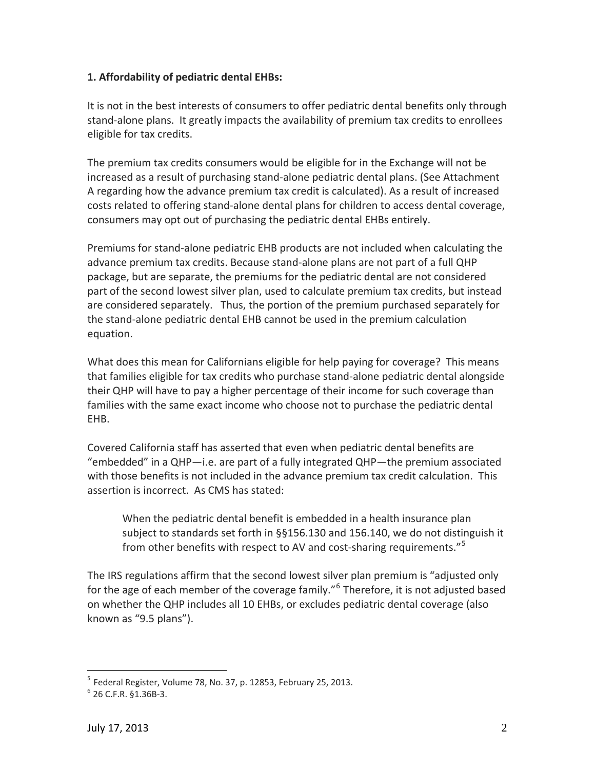## **1. Affordability of pediatric dental EHBs:**

It is not in the best interests of consumers to offer pediatric dental benefits only through stand‐alone plans. It greatly impacts the availability of premium tax credits to enrollees eligible for tax credits.

The premium tax credits consumers would be eligible for in the Exchange will not be increased as a result of purchasing stand‐alone pediatric dental plans. (See Attachment A regarding how the advance premium tax credit is calculated). As a result of increased costs related to offering stand‐alone dental plans for children to access dental coverage, consumers may opt out of purchasing the pediatric dental EHBs entirely.

Premiums for stand‐alone pediatric EHB products are not included when calculating the advance premium tax credits. Because stand‐alone plans are not part of a full QHP package, but are separate, the premiums for the pediatric dental are not considered part of the second lowest silver plan, used to calculate premium tax credits, but instead are considered separately. Thus, the portion of the premium purchased separately for the stand‐alone pediatric dental EHB cannot be used in the premium calculation equation.

What does this mean for Californians eligible for help paying for coverage? This means that families eligible for tax credits who purchase stand‐alone pediatric dental alongside their QHP will have to pay a higher percentage of their income for such coverage than families with the same exact income who choose not to purchase the pediatric dental EHB.

Covered California staff has asserted that even when pediatric dental benefits are "embedded" in a QHP—i.e. are part of a fully integrated QHP—the premium associated with those benefits is not included in the advance premium tax credit calculation. This assertion is incorrect. As CMS has stated:

When the pediatric dental benefit is embedded in a health insurance plan subject to standards set forth in §§156.130 and 156.140, we do not distinguish it from other benefits with respect to AV and cost-sharing requirements."<sup>[5](#page-1-0)</sup>

The IRS regulations affirm that the second lowest silver plan premium is "adjusted only for the age of each member of the coverage family."<sup>[6](#page-1-1)</sup> Therefore, it is not adjusted based on whether the QHP includes all 10 EHBs, or excludes pediatric dental coverage (also known as "9.5 plans").

 $<sup>5</sup>$  Federal Register, Volume 78, No. 37, p. 12853, February 25, 2013.</sup>

<span id="page-1-1"></span><span id="page-1-0"></span> $6$  26 C.F.R.  $61.36B-3$ .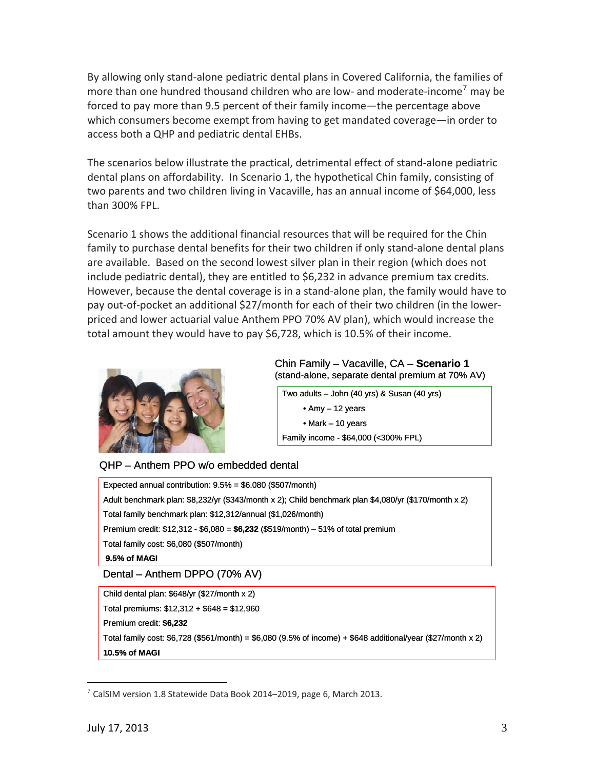By allowing only stand‐alone pediatric dental plans in Covered California, the families of more than one hundred thousand children who are low- and moderate-income<sup>[7](#page-2-0)</sup> may be forced to pay more than 9.5 percent of their family income—the percentage above which consumers become exempt from having to get mandated coverage—in order to access both a QHP and pediatric dental EHBs.

The scenarios below illustrate the practical, detrimental effect of stand‐alone pediatric dental plans on affordability. In Scenario 1, the hypothetical Chin family, consisting of two parents and two children living in Vacaville, has an annual income of \$64,000, less than 300% FPL.

Scenario 1 shows the additional financial resources that will be required for the Chin family to purchase dental benefits for their two children if only stand‐alone dental plans are available. Based on the second lowest silver plan in their region (which does not include pediatric dental), they are entitled to \$6,232 in advance premium tax credits. However, because the dental coverage is in a stand‐alone plan, the family would have to pay out‐of‐pocket an additional \$27/month for each of their two children (in the lower‐ priced and lower actuarial value Anthem PPO 70% AV plan), which would increase the total amount they would have to pay \$6,728, which is 10.5% of their income.



### Chin Family – Vacaville, CA – **Scenario 1** (stand-alone, separate dental premium at 70% AV)

Two adults – John (40 yrs) & Susan (40 yrs) • Amy – 12 years • Mark – 10 years Family income - \$64,000 (<300% FPL)

QHP – Anthem PPO w/o embedded dental

Total family cost:  $$6,728$  ( $$561/m$ onth) =  $$6,080$  ( $9.5\%$  of income) +  $$648$  additional/year ( $$27/m$ onth x 2) **10.5% of MAGI**

1

<span id="page-2-0"></span> $7$  CalSIM version 1.8 Statewide Data Book 2014–2019, page 6, March 2013.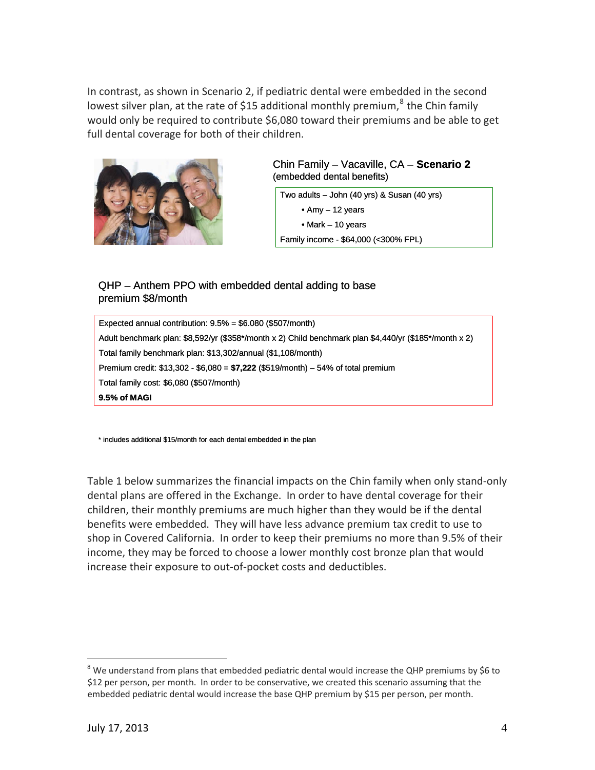In contrast, as shown in Scenario 2, if pediatric dental were embedded in the second lowest silver plan, at the rate of \$15 additional monthly premium, $^8$  $^8$  the Chin family would only be required to contribute \$6,080 toward their premiums and be able to get full dental coverage for both of their children.



Chin Family – Vacaville, CA – **Scenario 2** (embedded dental benefits)

Two adults – John (40 yrs) & Susan (40 yrs) • Amy – 12 years • Mark – 10 years Family income - \$64,000 (<300% FPL)

## QHP – Anthem PPO with embedded dental adding to base premium \$8/month

Expected annual contribution: 9.5% = \$6.080 (\$507/month) Adult benchmark plan: \$8,592/yr (\$358\*/month x 2) Child benchmark plan \$4,440/yr (\$185\*/month x 2) Total family benchmark plan: \$13,302/annual (\$1,108/month) Premium credit: \$13,302 - \$6,080 = **\$7,222** (\$519/month) – 54% of total premium Total family cost: \$6,080 (\$507/month) **9.5% of MAGI**

\* includes additional \$15/month for each dental embedded in the plan

Table 1 below summarizes the financial impacts on the Chin family when only stand‐only dental plans are offered in the Exchange. In order to have dental coverage for their children, their monthly premiums are much higher than they would be if the dental benefits were embedded. They will have less advance premium tax credit to use to shop in Covered California. In order to keep their premiums no more than 9.5% of their income, they may be forced to choose a lower monthly cost bronze plan that would increase their exposure to out‐of‐pocket costs and deductibles.

<span id="page-3-0"></span> $8$  We understand from plans that embedded pediatric dental would increase the QHP premiums by \$6 to \$12 per person, per month. In order to be conservative, we created this scenario assuming that the embedded pediatric dental would increase the base QHP premium by \$15 per person, per month.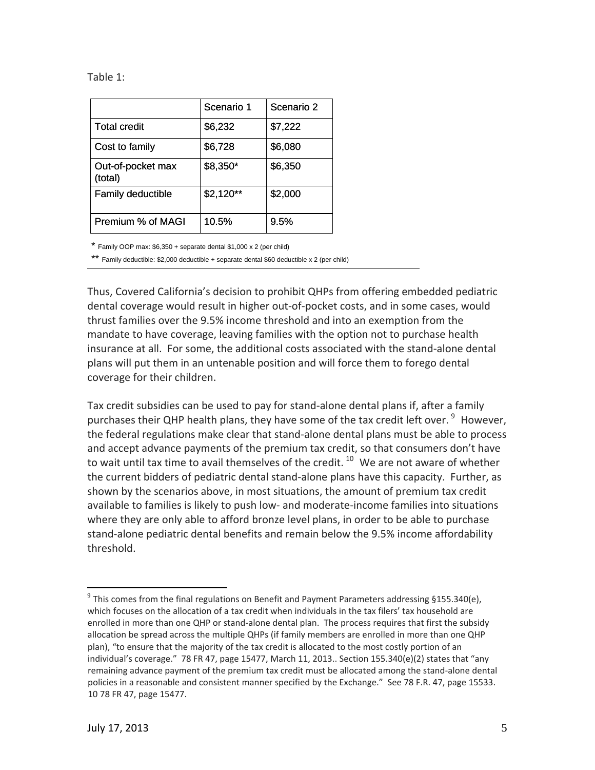| able |  |  |  |
|------|--|--|--|
|------|--|--|--|

|                              | Scenario 1 | Scenario 2 |
|------------------------------|------------|------------|
| <b>Total credit</b>          | \$6,232    | \$7,222    |
| Cost to family               | \$6,728    | \$6,080    |
| Out-of-pocket max<br>(total) | \$8,350*   | \$6,350    |
| <b>Family deductible</b>     | $$2,120**$ | \$2,000    |
| Premium % of MAGI            | 10.5%      | 9.5%       |

\* Family OOP max: \$6,350 + separate dental \$1,000 x 2 (per child)

\*\* Family deductible: \$2,000 deductible + separate dental \$60 deductible x 2 (per child)

Thus, Covered California's decision to prohibit QHPs from offering embedded pediatric dental coverage would result in higher out‐of‐pocket costs, and in some cases, w ould thrust families over the 9.5% income threshold and into an exemption from the mandate to have coverage, leaving families with the option not to purchase health insurance at all. For some, the additional costs associated with the stand-alone dental plans will put them in an untenable position and will force them to forego dental coverage for their children.

Tax credit subsidies can be used to pay for stand‐alone dental plans if, after a family purchases their QHP health plans, they have some of the tax credit left over.  $^9$  $^9$  However, the federal regulations make clear that stand‐alone dental plans must be able to process and accept advance payments of the premium tax credit, so that consumers don't have to wait until tax time to avail themselves of the credit.  $10$  We are not aware of whether the current bidders of pediatric dental stand‐alone plans have this capacity. Further, as shown by the scenarios above, in most situations, the amount of premium tax credit available to families is likely to push low‐ and moderate‐income families into situations where they are only able to afford bronze level plans, in order to be able to purchase stand‐alone pediatric dental benefits and remain below the 9.5% income affordability threshold.

<span id="page-4-1"></span><span id="page-4-0"></span> $9$  This comes from the final regulations on Benefit and Payment Parameters addressing §155.340(e), which focuses on the allocation of a tax credit when individuals in the tax filers' tax household are enrolled in more than one QHP or stand-alone dental plan. The process requires that first the subsidy allocation be spread across the multiple QHPs (if family members are enrolled in more than one QHP plan), "to ensure that the majority of the tax credit is allocated to the most costly portion of an individual's coverage." 78 FR 47, page 15477, March 11, 2013.. Section 155.340(e)(2) states that "any remaining advance payment of the premium tax credit must be allocated among the stand‐alone dental policies in a reasonable and consistent manner specified by the Exchange." See 78 F.R. 47, page 15533. 10 78 FR 47, page 15477.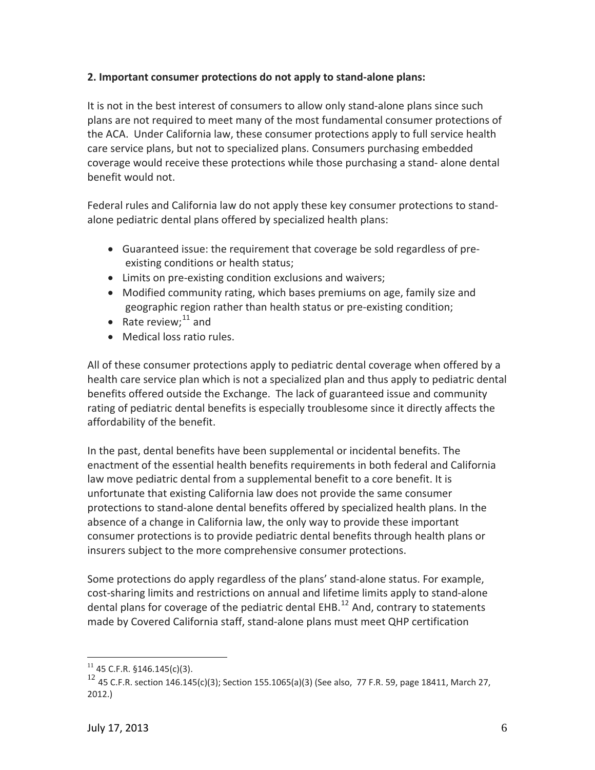## **2. Important consumer protections do not apply to stand‐alone plans:**

It is not in the best interest of consumers to allow only stand-alone plans since such plans are not required to meet many of the most fundamental consumer protections of the ACA. Under California law, these consumer protections apply to full service health care service plans, but not to specialized plans. Consumers purchasing embedded coverage would receive these protections while those purchasing a stand‐ alone dental benefit would not.

Federal rules and California law do not apply these key consumer protections to stand‐ alone pediatric dental plans offered by specialized health plans:

- Guaranteed issue: the requirement that coverage be sold regardless of pre‐ existing conditions or health status;
- Limits on pre-existing condition exclusions and waivers;
- Modified community rating, which bases premiums on age, family size and geographic region rather than health status or pre‐existing condition;
- Rate review; $^{11}$  and
- Medical loss ratio rules.

All of these consumer protections apply to pediatric dental coverage when offered by a health care service plan which is not a specialized plan and thus apply to pediatric dental benefits offered outside the Exchange. The lack of guaranteed issue and community rating of pediatric dental benefits is especially troublesome since it directly affects the affordability of the benefit.

In the past, dental benefits have been supplemental or incidental benefits. The enactment of the essential health benefits requirements in both federal and California law move pediatric dental from a supplemental benefit to a core benefit. It is unfortunate that existing California law does not provide the same consumer protections to stand‐alone dental benefits offered by specialized health plans. In the absence of a change in California law, the only way to provide these important consumer protections is to provide pediatric dental benefits through health plans or insurers subject to the more comprehensive consumer protections.

Some protections do apply regardless of the plans' stand‐alone status. For example, cost‐sharing limits and restrictions on annual and lifetime limits apply to stand‐alone dental plans for coverage of the pediatric dental EHB.<sup>[12](#page-5-0)</sup> And, contrary to statements made by Covered California staff, stand‐alone plans must meet QHP certification

 $11$  45 C.F.R. §146.145(c)(3).

<span id="page-5-0"></span><sup>&</sup>lt;sup>12</sup> 45 C.F.R. section 146.145(c)(3); Section 155.1065(a)(3) (See also, 77 F.R. 59, page 18411, March 27, 2012.)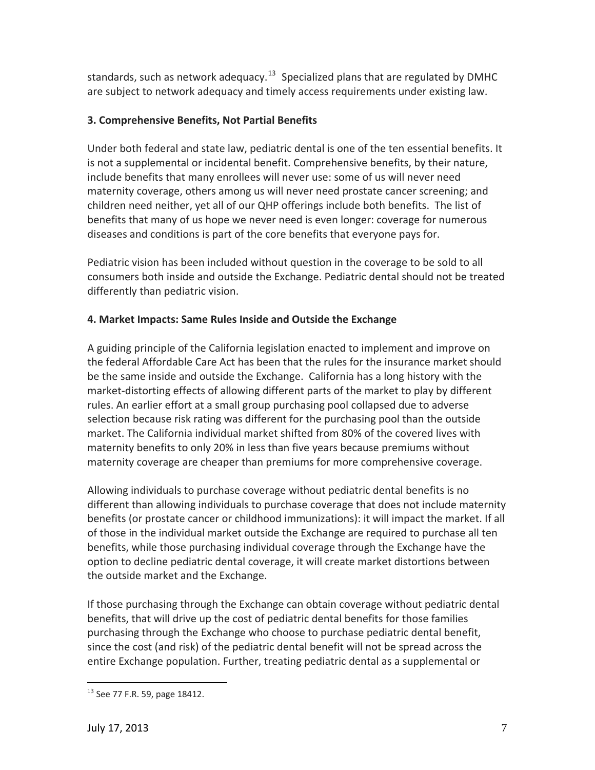standards, such as network adequacy.<sup>[13](#page-6-0)</sup> Specialized plans that are regulated by DMHC are subject to network adequacy and timely access requirements under existing law.

# **3. Comprehensive Benefits, Not Partial Benefits**

Under both federal and state law, pediatric dental is one of the ten essential benefits. It is not a supplemental or incidental benefit. Comprehensive benefits, by their nature, include benefits that many enrollees will never use: some of us will never need maternity coverage, others among us will never need prostate cancer screening; and children need neither, yet all of our QHP offerings include both benefits. The list of benefits that many of us hope we never need is even longer: coverage for numerous diseases and conditions is part of the core benefits that everyone pays for.

Pediatric vision has been included without question in the coverage to be sold to all consumers both inside and outside the Exchange. Pediatric dental should not be treated differently than pediatric vision.

# **4. Market Impacts: Same Rules Inside and Outside the Exchange**

A guiding principle of the California legislation enacted to implement and improve on the federal Affordable Care Act has been that the rules for the insurance market should be the same inside and outside the Exchange. California has a long history with the market‐distorting effects of allowing different parts of the market to play by different rules. An earlier effort at a small group purchasing pool collapsed due to adverse selection because risk rating was different for the purchasing pool than the outside market. The California individual market shifted from 80% of the covered lives with maternity benefits to only 20% in less than five years because premiums without maternity coverage are cheaper than premiums for more comprehensive coverage.

Allowing individuals to purchase coverage without pediatric dental benefits is no different than allowing individuals to purchase coverage that does not include maternity benefits (or prostate cancer or childhood immunizations): it will impact the market. If all of those in the individual market outside the Exchange are required to purchase all ten benefits, while those purchasing individual coverage through the Exchange have the option to decline pediatric dental coverage, it will create market distortions between the outside market and the Exchange.

If those purchasing through the Exchange can obtain coverage without pediatric dental benefits, that will drive up the cost of pediatric dental benefits for those families purchasing through the Exchange who choose to purchase pediatric dental benefit, since the cost (and risk) of the pediatric dental benefit will not be spread across the entire Exchange population. Further, treating pediatric dental as a supplemental or

<span id="page-6-0"></span> $\overline{a}$ <sup>13</sup> See 77 F.R. 59, page 18412.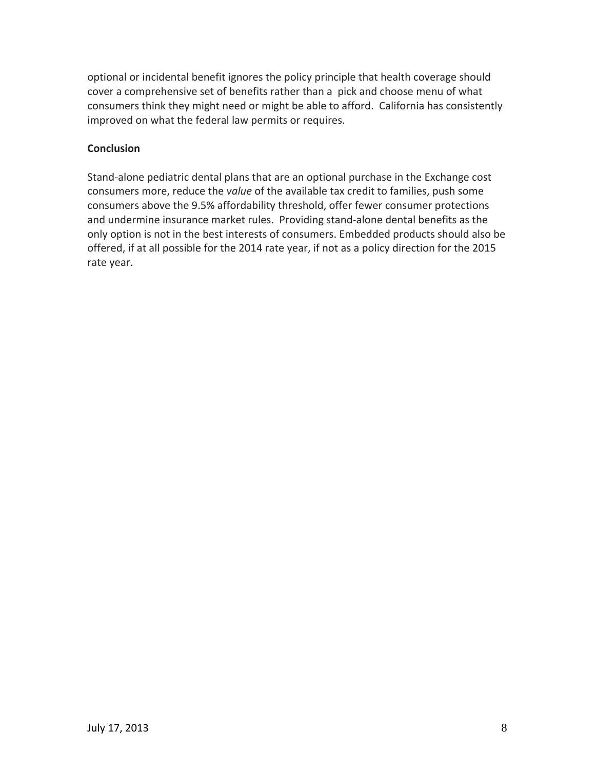optional or incidental benefit ignores the policy principle that health coverage should cover a comprehensive set of benefits rather than a pick and choose menu of what consumers think they might need or might be able to afford. California has consistently improved on what the federal law permits or requires.

## **Conclusion**

Stand‐alone pediatric dental plans that are an optional purchase in the Exchange cost consumers more, reduce the *value* of the available tax credit to families, push some consumers above the 9.5% affordability threshold, offer fewer consumer protections and undermine insurance market rules. Providing stand‐alone dental benefits as the only option is not in the best interests of consumers. Embedded products should also be offered, if at all possible for the 2014 rate year, if not as a policy direction for the 2015 rate year.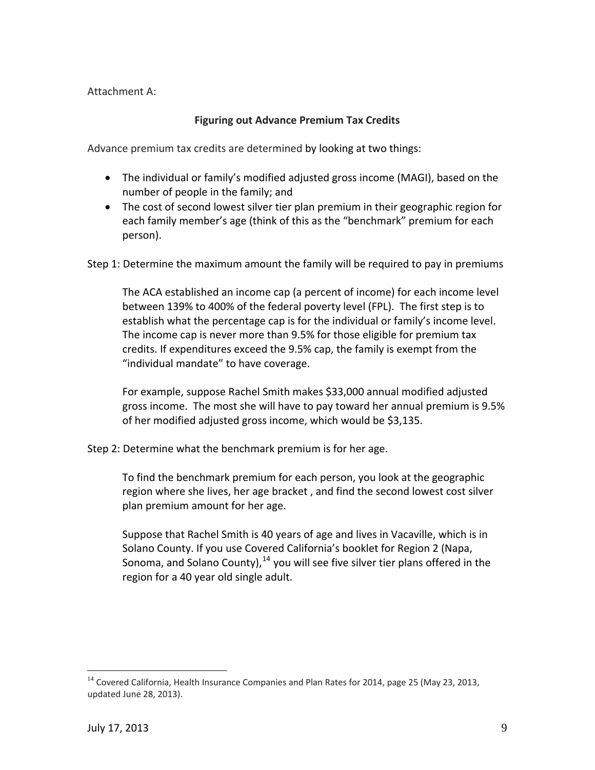Attachment A:

# **Figuring out Advance Premium Tax Credits**

Advance premium tax credits are determined by looking at two things:

- The individual or family's modified adjusted gross income (MAGI), based on the number of people in the family; and
- The cost of second lowest silver tier plan premium in their geographic region for each family member's age (think of this as the "benchmark" premium for each person).

Step 1: Determine the maximum amount the family will be required to pay in premiums

The ACA established an income cap (a percent of income) for each income level between 139% to 400% of the federal poverty level (FPL). The first step is to establish what the percentage cap is for the individual or family's income level. The income cap is never more than 9.5% for those eligible for premium tax credits. If expenditures exceed the 9.5% cap, the family is exempt from the "individual mandate" to have coverage.

For example, suppose Rachel Smith makes \$33,000 annual modified adjusted gross income. The most she will have to pay toward her annual premium is 9.5% of her modified adjusted gross income, which would be \$3,135.

Step 2: Determine what the benchmark premium is for her age.

To find the benchmark premium for each person, you look at the geographic region where she lives, her age bracket , and find the second lowest cost silver plan premium amount for her age.

Suppose that Rachel Smith is 40 years of age and lives in Vacaville, which is in Solano County. If you use Covered California's booklet for Region 2 (Napa, Sonoma, and Solano County),  $^{14}$  $^{14}$  $^{14}$  you will see five silver tier plans offered in the region for a 40 year old single adult.

<span id="page-8-0"></span><sup>&</sup>lt;sup>14</sup> Covered California, Health Insurance Companies and Plan Rates for 2014, page 25 (May 23, 2013, updated June 28, 2013).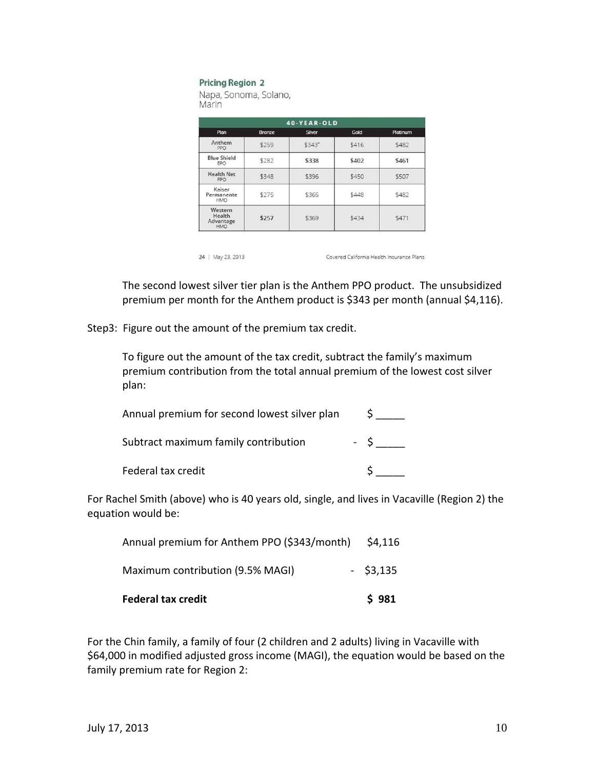#### **Pricing Region 2**

Napa, Sonoma, Solano, Marin

| 40-YEAR-OLD                           |        |        |       |          |
|---------------------------------------|--------|--------|-------|----------|
| Plan                                  | Bronze | Silver | Gold  | Platinum |
| Anthem<br>PPO                         | \$259  | \$343* | \$416 | \$482    |
| <b>Blue Shield</b><br>EPO             | \$282  | \$338  | \$402 | \$461    |
| <b>Health Net</b><br>PPO              | \$348  | \$396  | \$450 | \$507    |
| Kaiser<br>Permanente<br><b>HMO</b>    | \$275  | \$365  | \$448 | \$482    |
| Western<br>Health<br>Advantage<br>HMO | \$257  | \$369  | \$434 | \$471    |

24 | May 23, 2013

Covered California Health Insurance Plans

The second lowest silver tier plan is the Anthem PPO product. The unsubsidized premium per month for the Anthem product is \$343 per month (annual \$4,116).

Step3: Figure out the amount of the premium tax credit.

To figure out the amount of the tax credit, subtract the family's maximum premium contribution from the total annual premium of the lowest cost silver plan:

| Annual premium for second lowest silver plan |  |
|----------------------------------------------|--|
| Subtract maximum family contribution         |  |
| Federal tax credit                           |  |

For Rachel Smith (above) who is 40 years old, single, and lives in Vacaville (Region 2) the equation would be:

| <b>Federal tax credit</b>                   | \$981       |
|---------------------------------------------|-------------|
| Maximum contribution (9.5% MAGI)            | $-$ \$3,135 |
| Annual premium for Anthem PPO (\$343/month) | \$4,116     |

For the Chin family, a family of four (2 children and 2 adults) living in Vacaville with \$64,000 in modified adjusted gross income (MAGI), the equation would be based on the family premium rate for Region 2: